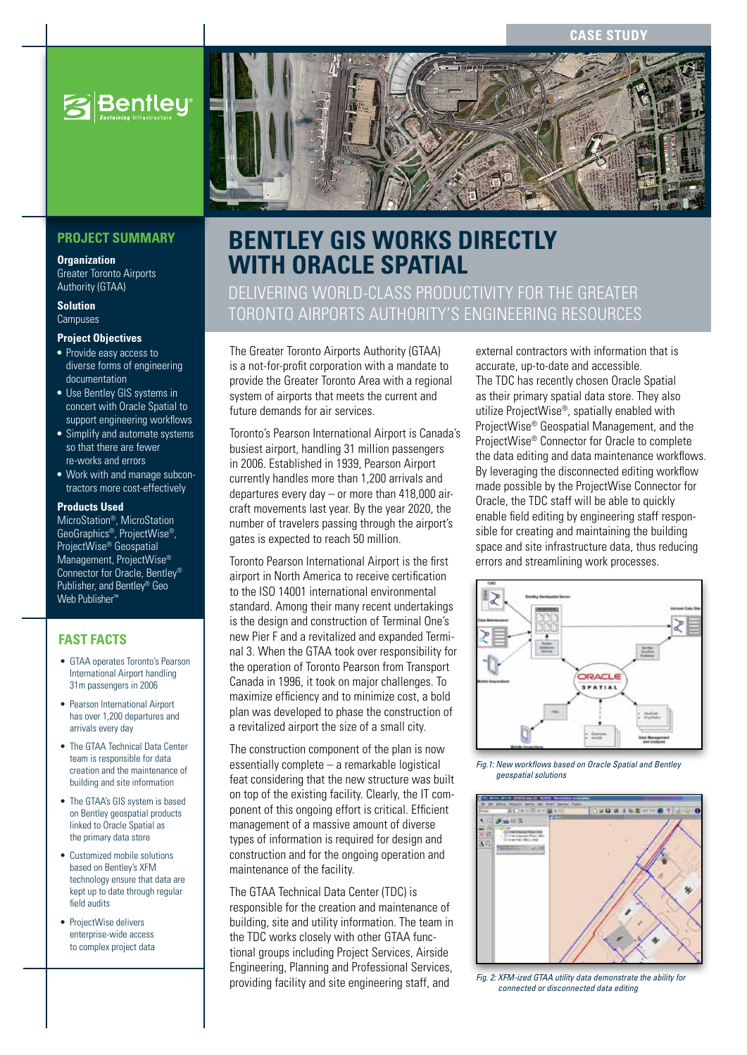**case study**



### **PROJECT SUMMARY**

**Organization**

Greater Toronto Airports Authority (GTAA)

**Solution Campuses** 

### **Project Objectives**

- Provide easy access to diverse forms of engineering documentation
- Use Bentley GIS systems in concert with Oracle Spatial to support engineering workflows
- Simplify and automate systems so that there are fewer re-works and errors
- Work with and manage subcontractors more cost-effectively

#### **Products Used**

MicroStation®, MicroStation GeoGraphics®, ProjectWise®, ProjectWise® Geospatial Management, ProjectWise® Connector for Oracle, Bentley® Publisher, and Bentley® Geo Web Publisher™

### **FAST FACTS**

- GTAA operates Toronto's Pearson International Airport handling 31m passengers in 2006
- Pearson International Airport has over 1,200 departures and arrivals every day
- The GTAA Technical Data Center team is responsible for data creation and the maintenance of building and site information
- The GTAA's GIS system is based on Bentley geospatial products linked to Oracle Spatial as the primary data store
- Customized mobile solutions based on Bentley's XFM technology ensure that data are kept up to date through regular field audits
- ProjectWise delivers enterprise-wide access to complex project data



# **BENTLEY GIS WORKS DIRECTLY WITH ORACLE SPATIAL**

# delivering world-class productivity for the Greater Toronto Airports Authority's engineering resources

The Greater Toronto Airports Authority (GTAA) is a not-for-profit corporation with a mandate to provide the Greater Toronto Area with a regional system of airports that meets the current and future demands for air services.

Toronto's Pearson International Airport is Canada's busiest airport, handling 31 million passengers in 2006. Established in 1939, Pearson Airport currently handles more than 1,200 arrivals and departures every day – or more than 418,000 aircraft movements last year. By the year 2020, the number of travelers passing through the airport's gates is expected to reach 50 million.

Toronto Pearson International Airport is the first airport in North America to receive certification to the ISO 14001 international environmental standard. Among their many recent undertakings is the design and construction of Terminal One's new Pier F and a revitalized and expanded Terminal 3. When the GTAA took over responsibility for the operation of Toronto Pearson from Transport Canada in 1996, it took on major challenges. To maximize efficiency and to minimize cost, a bold plan was developed to phase the construction of a revitalized airport the size of a small city.

The construction component of the plan is now essentially complete – a remarkable logistical feat considering that the new structure was built on top of the existing facility. Clearly, the IT component of this ongoing effort is critical. Efficient management of a massive amount of diverse types of information is required for design and construction and for the ongoing operation and maintenance of the facility.

The GTAA Technical Data Center (TDC) is responsible for the creation and maintenance of building, site and utility information. The team in the TDC works closely with other GTAA functional groups including Project Services, Airside Engineering, Planning and Professional Services, providing facility and site engineering staff, and

external contractors with information that is accurate, up-to-date and accessible. The TDC has recently chosen Oracle Spatial as their primary spatial data store. They also utilize ProjectWise®, spatially enabled with ProjectWise® Geospatial Management, and the ProjectWise® Connector for Oracle to complete the data editing and data maintenance workflows. By leveraging the disconnected editing workflow made possible by the ProjectWise Connector for Oracle, the TDC staff will be able to quickly enable field editing by engineering staff responsible for creating and maintaining the building space and site infrastructure data, thus reducing errors and streamlining work processes.



*Fig.1: New workflows based on Oracle Spatial and Bentley geospatial solutions*



*Fig. 2: XFM-ized GTAA utility data demonstrate the ability for connected or disconnected data editing*